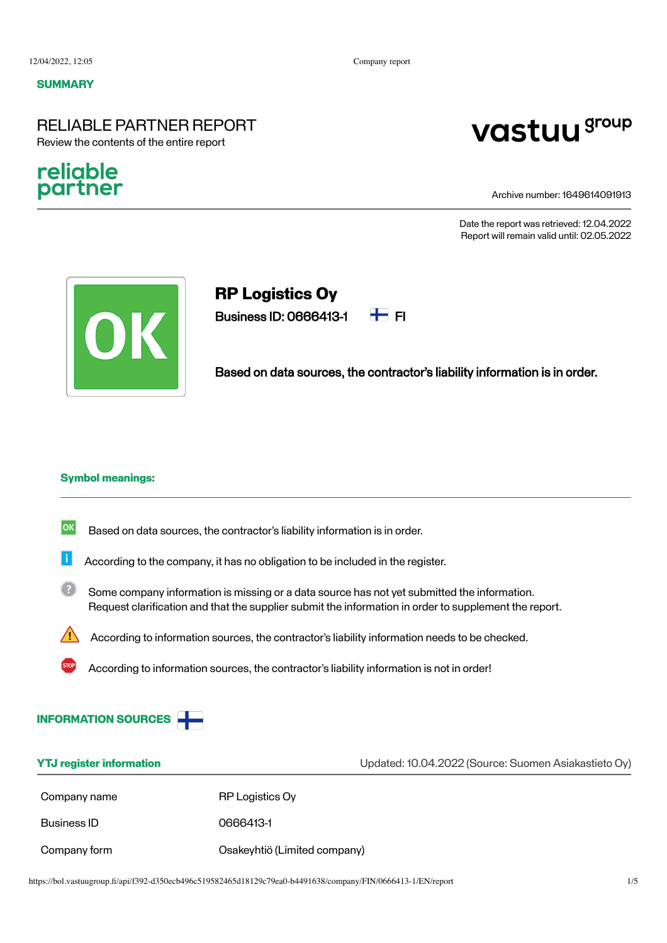#### **SUMMARY**

### RELIABLE PARTNER REPORT Review the contents of the entire report

### religble partner

# vastuu group

Archive number: 1649614091913

Date the report was retrieved: 12.04.2022 Report will remain valid until: 02.05.2022



## **RP Logistics Oy**

Business ID: 0666413-1  $\Box$  FI



Based on data sources, the contractor's liability information is in order.

#### **Symbol meanings:**

- $|\mathsf{ok}|$ Based on data sources, the contractor's liability information is in order.
- Ħ According to the company, it has no obligation to be included in the register.
- $\sqrt{2}$ Some company information is missing or a data source has not yet submitted the information. Request clarification and that the supplier submit the information in order to supplement the report.
	- According to information sources, the contractor's liability information needs to be checked.
		- According to information sources, the contractor's liability information is not in order!



| <b>YTJ</b> register information |                              | Updated: 10.04.2022 (Source: Suomen Asiakastieto Oy) |  |
|---------------------------------|------------------------------|------------------------------------------------------|--|
| Company name                    | RP Logistics Oy              |                                                      |  |
| Business ID                     | 0666413-1                    |                                                      |  |
| Company form                    | Osakeyhtiö (Limited company) |                                                      |  |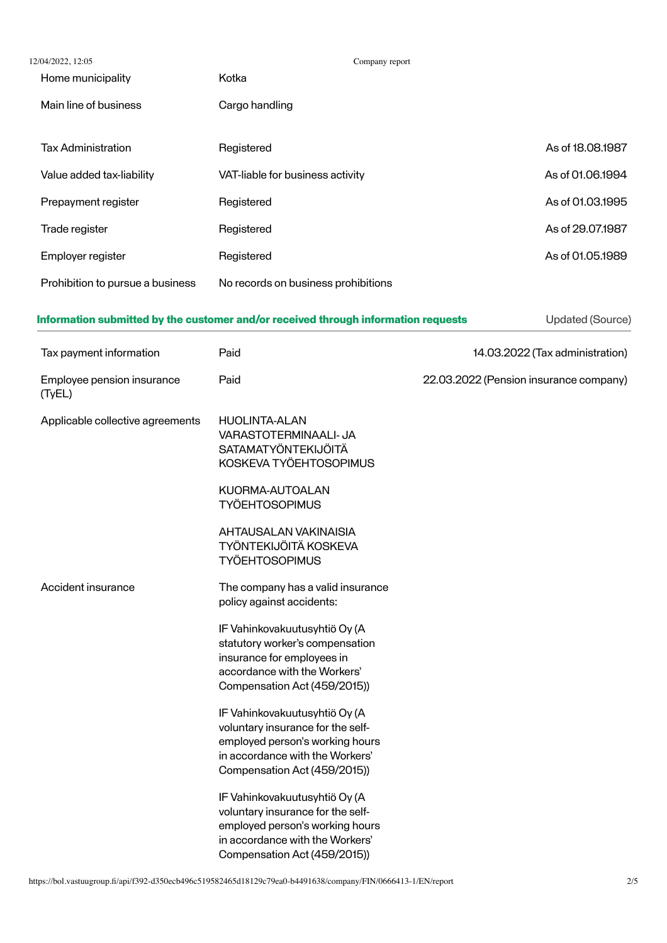| 12/04/2022, 12:05                    | Company report                                                                                                                                                           |                                        |  |
|--------------------------------------|--------------------------------------------------------------------------------------------------------------------------------------------------------------------------|----------------------------------------|--|
| Home municipality                    | Kotka                                                                                                                                                                    |                                        |  |
| Main line of business                | Cargo handling                                                                                                                                                           |                                        |  |
| <b>Tax Administration</b>            | Registered                                                                                                                                                               | As of 18.08.1987                       |  |
| Value added tax-liability            | VAT-liable for business activity                                                                                                                                         | As of 01.06.1994                       |  |
| Prepayment register                  | Registered                                                                                                                                                               | As of 01.03.1995                       |  |
| Trade register                       | Registered                                                                                                                                                               | As of 29.07.1987                       |  |
| Employer register                    | Registered                                                                                                                                                               | As of 01.05.1989                       |  |
| Prohibition to pursue a business     | No records on business prohibitions                                                                                                                                      |                                        |  |
|                                      | Information submitted by the customer and/or received through information requests                                                                                       | Updated (Source)                       |  |
| Tax payment information              | Paid                                                                                                                                                                     | 14.03.2022 (Tax administration)        |  |
| Employee pension insurance<br>(TyEL) | Paid                                                                                                                                                                     | 22.03.2022 (Pension insurance company) |  |
| Applicable collective agreements     | <b>HUOLINTA-ALAN</b><br>VARASTOTERMINAALI- JA<br>SATAMATYÖNTEKIJÖITÄ<br>KOSKEVA TYÖEHTOSOPIMUS                                                                           |                                        |  |
|                                      | KUORMA-AUTOALAN<br><b>TYÖEHTOSOPIMUS</b>                                                                                                                                 |                                        |  |
|                                      | AHTAUSALAN VAKINAISIA<br>TYÖNTEKIJÖITÄ KOSKEVA<br><b>TYÖEHTOSOPIMUS</b>                                                                                                  |                                        |  |
| Accident insurance                   | The company has a valid insurance<br>policy against accidents:                                                                                                           |                                        |  |
|                                      | IF Vahinkovakuutusyhtiö Oy (A<br>statutory worker's compensation<br>insurance for employees in<br>accordance with the Workers'<br>Compensation Act (459/2015))           |                                        |  |
|                                      | IF Vahinkovakuutusyhtiö Oy (A<br>voluntary insurance for the self-<br>employed person's working hours<br>in accordance with the Workers'<br>Compensation Act (459/2015)) |                                        |  |
|                                      | IF Vahinkovakuutusyhtiö Oy (A<br>voluntary insurance for the self-<br>employed person's working hours<br>in accordance with the Workers'<br>Compensation Act (459/2015)) |                                        |  |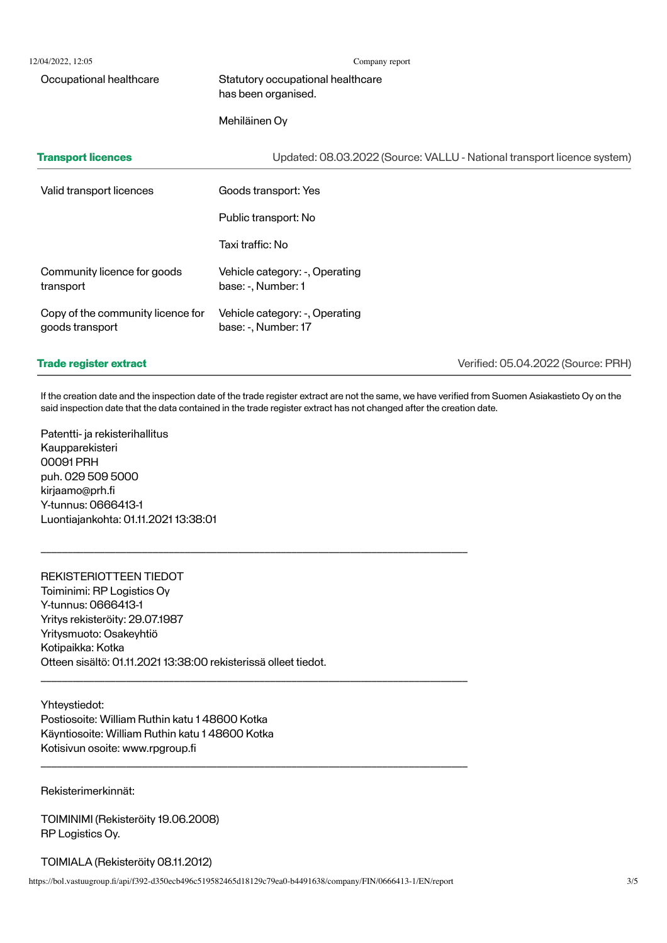| 12/04/2022, 12:05                                    | Company report                                                          |  |
|------------------------------------------------------|-------------------------------------------------------------------------|--|
| Occupational healthcare                              | Statutory occupational healthcare<br>has been organised.                |  |
|                                                      | Mehiläinen Oy                                                           |  |
| <b>Transport licences</b>                            | Updated: 08.03.2022 (Source: VALLU - National transport licence system) |  |
| Valid transport licences                             | Goods transport: Yes                                                    |  |
|                                                      | Public transport: No                                                    |  |
|                                                      | Taxi traffic: No                                                        |  |
| Community licence for goods<br>transport             | Vehicle category: -, Operating<br>base: -, Number: 1                    |  |
| Copy of the community licence for<br>goods transport | Vehicle category: -, Operating<br>base: -, Number: 17                   |  |
|                                                      |                                                                         |  |

## **Trade register extract**

Verified: 05.04.2022 (Source: PRH)

If the creation date and the inspection date of the trade register extract are not the same, we have verified from Suomen Asiakastieto Oy on the said inspection date that the data contained in the trade register extract has not changed after the creation date.

Patentti- ja rekisterihallitus Kaupparekisteri 00091 PRH puh. 029 509 5000 kirjaamo@prh.fi Y-tunnus: 0666413-1 Luontiajankohta: 01.11.2021 13:38:01

### REKISTERIOTTEEN TIEDOT

Toiminimi: RP Logistics Oy Y-tunnus: 0666413-1 Yritys rekisteröity: 29.07.1987 Yritysmuoto: Osakeyhtiö Kotipaikka: Kotka Otteen sisältö: 01.11.2021 13:38:00 rekisterissä olleet tiedot.

Yhteystiedot: Postiosoite: William Ruthin katu 1 48600 Kotka Käyntiosoite: William Ruthin katu 1 48600 Kotka Kotisivun osoite: www.rpgroup.fi

Rekisterimerkinnät:

TOIMINIMI (Rekisteröity 19.06.2008) RP Logistics Oy.

TOIMIALA (Rekisteröity 08.11.2012)

https://bol.vastuugroup.fi/api/f392-d350ecb496c519582465d18129c79ea0-b4491638/company/FIN/0666413-1/EN/report 3/5

\_\_\_\_\_\_\_\_\_\_\_\_\_\_\_\_\_\_\_\_\_\_\_\_\_\_\_\_\_\_\_\_\_\_\_\_\_\_\_\_\_\_\_\_\_\_\_\_\_\_\_\_\_\_\_\_\_\_\_\_\_\_\_\_\_\_\_\_\_\_\_\_\_\_\_\_\_\_\_\_

\_\_\_\_\_\_\_\_\_\_\_\_\_\_\_\_\_\_\_\_\_\_\_\_\_\_\_\_\_\_\_\_\_\_\_\_\_\_\_\_\_\_\_\_\_\_\_\_\_\_\_\_\_\_\_\_\_\_\_\_\_\_\_\_\_\_\_\_\_\_\_\_\_\_\_\_\_\_\_\_

\_\_\_\_\_\_\_\_\_\_\_\_\_\_\_\_\_\_\_\_\_\_\_\_\_\_\_\_\_\_\_\_\_\_\_\_\_\_\_\_\_\_\_\_\_\_\_\_\_\_\_\_\_\_\_\_\_\_\_\_\_\_\_\_\_\_\_\_\_\_\_\_\_\_\_\_\_\_\_\_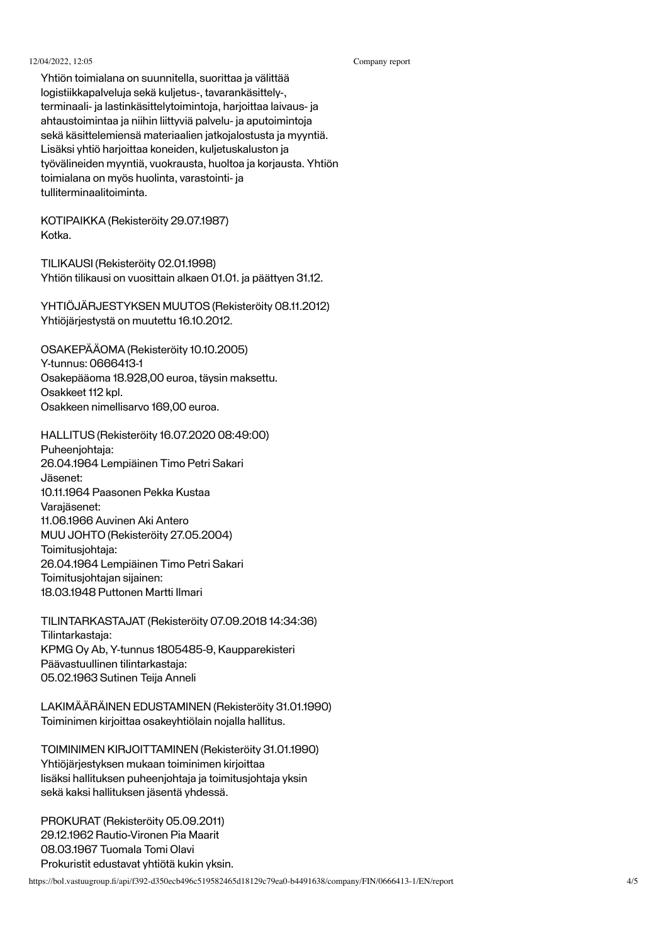#### 12/04/2022, 12:05 Company report

Yhtiön toimialana on suunnitella, suorittaa ja välittää logistiikkapalveluja sekä kuljetus-, tavarankäsittely-, terminaali- ja lastinkäsittelytoimintoja, harjoittaa laivaus- ja ahtaustoimintaa ja niihin liittyviä palvelu- ja aputoimintoja sekä käsittelemiensä materiaalien jatkojalostusta ja myyntiä. Lisäksi yhtiö harjoittaa koneiden, kuljetuskaluston ja työvälineiden myyntiä, vuokrausta, huoltoa ja korjausta. Yhtiön toimialana on myös huolinta, varastointi- ja tulliterminaalitoiminta.

KOTIPAIKKA (Rekisteröity 29.07.1987) Kotka.

TILIKAUSI (Rekisteröity 02.01.1998) Yhtiön tilikausi on vuosittain alkaen 01.01. ja päättyen 31.12.

YHTIÖJÄRJESTYKSEN MUUTOS (Rekisteröity 08.11.2012) Yhtiöjärjestystä on muutettu 16.10.2012.

OSAKEPÄÄOMA (Rekisteröity 10.10.2005) Y-tunnus: 0666413-1 Osakepääoma 18.928,00 euroa, täysin maksettu. Osakkeet 112 kpl. Osakkeen nimellisarvo 169,00 euroa.

HALLITUS (Rekisteröity 16.07.2020 08:49:00) Puheeniohtaja: 26.04.1964 Lempiäinen Timo Petri Sakari Jäsenet: 10.11.1964 Paasonen Pekka Kustaa Varajäsenet: 11.06.1966 Auvinen Aki Antero MUU JOHTO (Rekisteröity 27.05.2004) Toimitusjohtaja: 26.04.1964 Lempiäinen Timo Petri Sakari Toimitusjohtajan sijainen: 18.03.1948 Puttonen Martti Ilmari

TILINTARKASTAJAT (Rekisteröity 07.09.2018 14:34:36) Tilintarkastaja: KPMG Oy Ab, Y-tunnus 1805485-9, Kaupparekisteri Päävastuullinen tilintarkastaja: 05.02.1963 Sutinen Teija Anneli

LAKIMÄÄRÄINEN EDUSTAMINEN (Rekisteröity 31.01.1990) Toiminimen kirjoittaa osakeyhtiölain nojalla hallitus.

TOIMINIMEN KIRJOITTAMINEN (Rekisteröity 31.01.1990) Yhtiöjärjestyksen mukaan toiminimen kirjoittaa lisäksi hallituksen puheenjohtaja ja toimitusjohtaja yksin sekä kaksi hallituksen jäsentä yhdessä.

PROKURAT (Rekisteröity 05.09.2011) 29.12.1962 Rautio-Vironen Pia Maarit 08.03.1967 Tuomala Tomi Olavi Prokuristit edustavat yhtiötä kukin yksin.